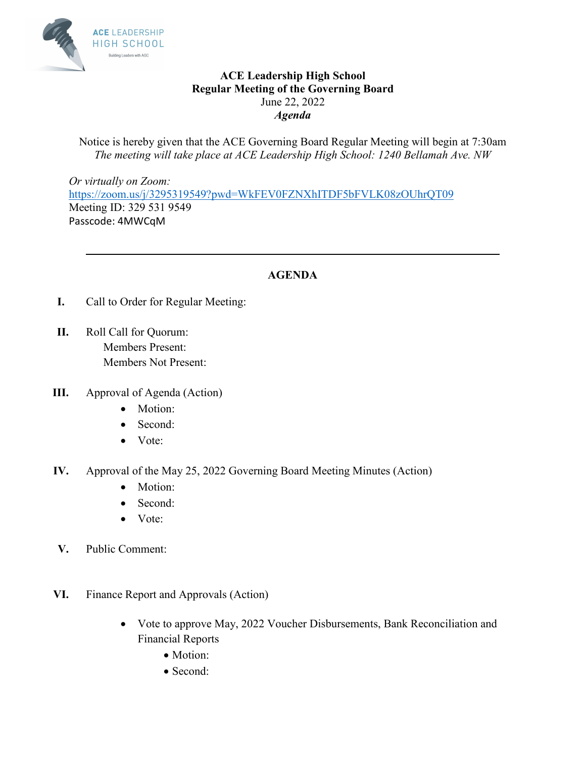

## **ACE Leadership High School Regular Meeting of the Governing Board**  June 22, 2022 *Agenda*

Notice is hereby given that the ACE Governing Board Regular Meeting will begin at 7:30am *The meeting will take place at ACE Leadership High School: 1240 Bellamah Ave. NW* 

*Or virtually on Zoom:*  [https://zoom.us/j/3295319549?pwd=WkFEV0FZNXhITDF5bFVLK08zOUhrQT09](https://urldefense.com/v3/__https:/zoom.us/j/3295319549?pwd=WkFEV0FZNXhITDF5bFVLK08zOUhrQT09__;!!KGOTntw!AP4EFeY7hevNEwX7bs7sCeVY1Lk7j-WEHafYag9_9QHQzql415jtPGgknRx17EEk$) Meeting ID: 329 531 9549 Passcode: 4MWCqM

## **AGENDA**

**\_\_\_\_\_\_\_\_\_\_\_\_\_\_\_\_\_\_\_\_\_\_\_\_\_\_\_\_\_\_\_\_\_\_\_\_\_\_\_\_\_\_\_\_\_\_\_\_\_\_\_\_\_\_\_\_\_\_\_\_\_\_\_\_\_\_\_\_\_\_\_\_** 

- **I.** Call to Order for Regular Meeting:
- **II.** Roll Call for Quorum: Members Present: Members Not Present:
- **III.** Approval of Agenda (Action)
	- Motion:
	- Second:
	- Vote:
- **IV.** Approval of the May 25, 2022 Governing Board Meeting Minutes (Action)
	- Motion:
	- Second:
	- Vote:
- **V.** Public Comment:
- **VI.** Finance Report and Approvals (Action)
	- Vote to approve May, 2022 Voucher Disbursements, Bank Reconciliation and Financial Reports
		- Motion:
		- Second: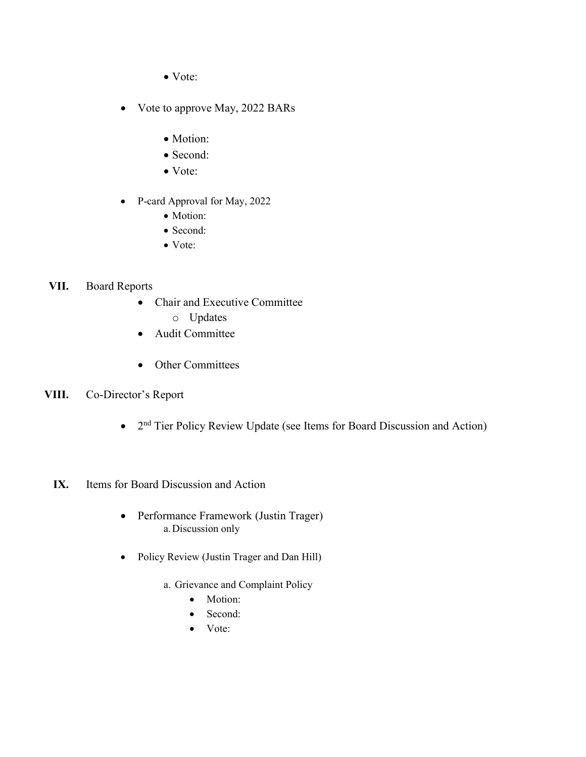- Vote:
- Vote to approve May, 2022 BARs
	- Motion:
	- Second:
	- Vote:
- P-card Approval for May, 2022
	- Motion:
	- Second:
	- Vote:

## **VII.** Board Reports

- Chair and Executive Committee
	- o Updates
- Audit Committee
- Other Committees
- **VIII.** Co-Director's Report
	- $\bullet$  2<sup>nd</sup> Tier Policy Review Update (see Items for Board Discussion and Action)

## **IX.** Items for Board Discussion and Action

- Performance Framework (Justin Trager) a.Discussion only
- Policy Review (Justin Trager and Dan Hill)
	- a. Grievance and Complaint Policy
		- Motion:
		- Second:
		- Vote: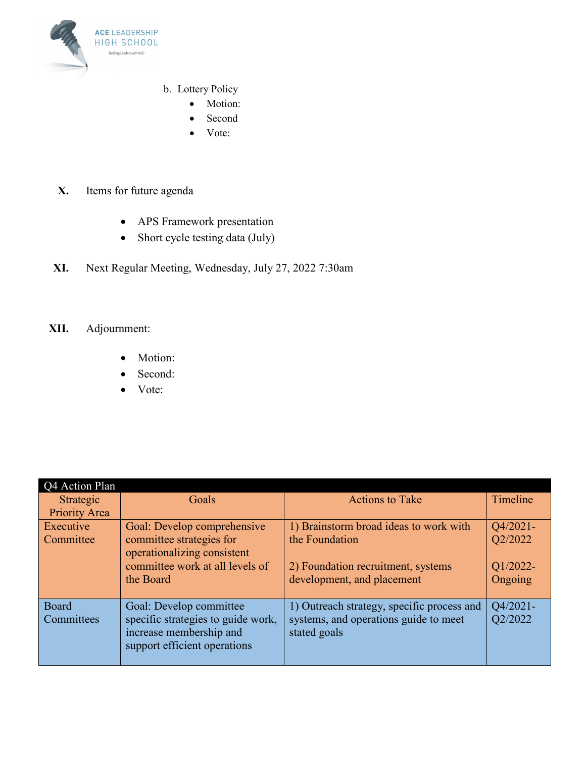

- b. Lottery Policy
	- Motion:
	- Second
	- Vote:
- **X.** Items for future agenda
	- APS Framework presentation
	- Short cycle testing data (July)
- **XI.** Next Regular Meeting, Wednesday, July 27, 2022 7:30am
- **XII.** Adjournment:
	- Motion:
	- Second:
	- Vote:

| Q4 Action Plan      |                                                                                                                          |                                                                                                     |                     |  |
|---------------------|--------------------------------------------------------------------------------------------------------------------------|-----------------------------------------------------------------------------------------------------|---------------------|--|
| Strategic           | Goals                                                                                                                    | <b>Actions to Take</b>                                                                              | Timeline            |  |
| Priority Area       |                                                                                                                          |                                                                                                     |                     |  |
| Executive           | Goal: Develop comprehensive                                                                                              | 1) Brainstorm broad ideas to work with                                                              | $Q4/2021-$          |  |
| Committee           | committee strategies for<br>operationalizing consistent                                                                  | the Foundation                                                                                      | Q2/2022             |  |
|                     | committee work at all levels of                                                                                          | 2) Foundation recruitment, systems                                                                  | Q1/2022-            |  |
|                     | the Board                                                                                                                | development, and placement                                                                          | Ongoing             |  |
| Board<br>Committees | Goal: Develop committee<br>specific strategies to guide work,<br>increase membership and<br>support efficient operations | 1) Outreach strategy, specific process and<br>systems, and operations guide to meet<br>stated goals | Q4/2021-<br>Q2/2022 |  |
|                     |                                                                                                                          |                                                                                                     |                     |  |